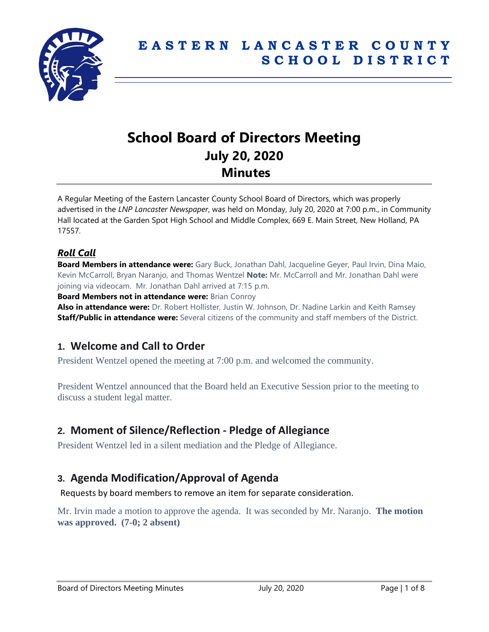

# **School Board of Directors Meeting July 20, 2020 Minutes**

A Regular Meeting of the Eastern Lancaster County School Board of Directors, which was properly advertised in the *LNP Lancaster Newspaper*, was held on Monday, July 20, 2020 at 7:00 p.m., in Community Hall located at the Garden Spot High School and Middle Complex, 669 E. Main Street, New Holland, PA 17557.

### *Roll Call*

**Board Members in attendance were:** Gary Buck, Jonathan Dahl, Jacqueline Geyer, Paul Irvin, Dina Maio, Kevin McCarroll, Bryan Naranjo, and Thomas Wentzel **Note:** Mr. McCarroll and Mr. Jonathan Dahl were joining via videocam. Mr. Jonathan Dahl arrived at 7:15 p.m.

**Board Members not in attendance were:** Brian Conroy

**Also in attendance were:** Dr. Robert Hollister, Justin W. Johnson, Dr. Nadine Larkin and Keith Ramsey **Staff/Public in attendance were:** Several citizens of the community and staff members of the District.

# **1. Welcome and Call to Order**

President Wentzel opened the meeting at 7:00 p.m. and welcomed the community.

President Wentzel announced that the Board held an Executive Session prior to the meeting to discuss a student legal matter.

## **2. Moment of Silence/Reflection - Pledge of Allegiance**

President Wentzel led in a silent mediation and the Pledge of Allegiance.

# **3. Agenda Modification/Approval of Agenda**

Requests by board members to remove an item for separate consideration.

Mr. Irvin made a motion to approve the agenda. It was seconded by Mr. Naranjo. **The motion was approved. (7-0; 2 absent)**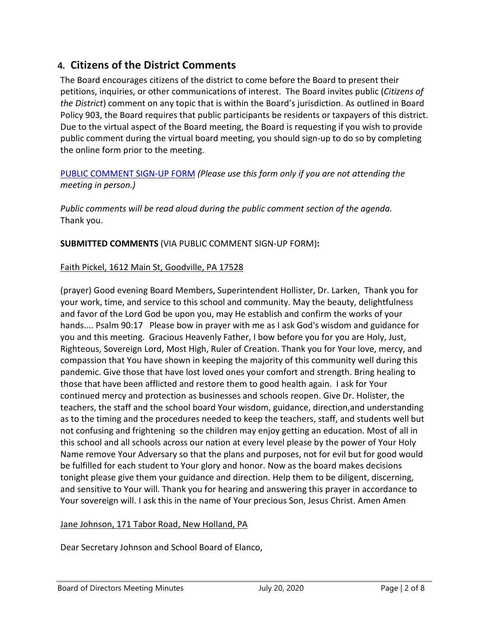# **4. Citizens of the District Comments**

The Board encourages citizens of the district to come before the Board to present their petitions, inquiries, or other communications of interest. The Board invites public (*Citizens of the District*) comment on any topic that is within the Board's jurisdiction. As outlined in Board Policy 903, the Board requires that public participants be residents or taxpayers of this district. Due to the virtual aspect of the Board meeting, the Board is requesting if you wish to provide public comment during the virtual board meeting, you should sign-up to do so by completing the online form prior to the meeting.

### [PUBLIC COMMENT SIGN-UP FORM](https://forms.gle/zDXXoX8rZQUxt1Ap6) *(Please use this form only if you are not attending the meeting in person.)*

*Public comments will be read aloud during the public comment section of the agenda.* Thank you.

**SUBMITTED COMMENTS** (VIA PUBLIC COMMENT SIGN-UP FORM)**:**

### Faith Pickel, 1612 Main St, Goodville, PA 17528

(prayer) Good evening Board Members, Superintendent Hollister, Dr. Larken, Thank you for your work, time, and service to this school and community. May the beauty, delightfulness and favor of the Lord God be upon you, may He establish and confirm the works of your hands.... Psalm 90:17 Please bow in prayer with me as I ask God's wisdom and guidance for you and this meeting. Gracious Heavenly Father, I bow before you for you are Holy, Just, Righteous, Sovereign Lord, Most High, Ruler of Creation. Thank you for Your love, mercy, and compassion that You have shown in keeping the majority of this community well during this pandemic. Give those that have lost loved ones your comfort and strength. Bring healing to those that have been afflicted and restore them to good health again. I ask for Your continued mercy and protection as businesses and schools reopen. Give Dr. Holister, the teachers, the staff and the school board Your wisdom, guidance, direction,and understanding as to the timing and the procedures needed to keep the teachers, staff, and students well but not confusing and frightening so the children may enjoy getting an education. Most of all in this school and all schools across our nation at every level please by the power of Your Holy Name remove Your Adversary so that the plans and purposes, not for evil but for good would be fulfilled for each student to Your glory and honor. Now as the board makes decisions tonight please give them your guidance and direction. Help them to be diligent, discerning, and sensitive to Your will. Thank you for hearing and answering this prayer in accordance to Your sovereign will. I ask this in the name of Your precious Son, Jesus Christ. Amen Amen

#### Jane Johnson, 171 Tabor Road, New Holland, PA

Dear Secretary Johnson and School Board of Elanco,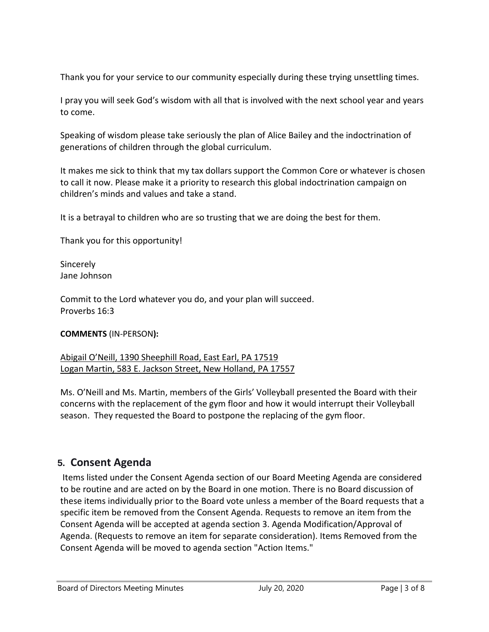Thank you for your service to our community especially during these trying unsettling times.

I pray you will seek God's wisdom with all that is involved with the next school year and years to come.

Speaking of wisdom please take seriously the plan of Alice Bailey and the indoctrination of generations of children through the global curriculum.

It makes me sick to think that my tax dollars support the Common Core or whatever is chosen to call it now. Please make it a priority to research this global indoctrination campaign on children's minds and values and take a stand.

It is a betrayal to children who are so trusting that we are doing the best for them.

Thank you for this opportunity!

**Sincerely** Jane Johnson

Commit to the Lord whatever you do, and your plan will succeed. Proverbs 16:3

**COMMENTS** (IN-PERSON**):** 

Abigail O'Neill, 1390 Sheephill Road, East Earl, PA 17519 Logan Martin, 583 E. Jackson Street, New Holland, PA 17557

Ms. O'Neill and Ms. Martin, members of the Girls' Volleyball presented the Board with their concerns with the replacement of the gym floor and how it would interrupt their Volleyball season. They requested the Board to postpone the replacing of the gym floor.

# **5. Consent Agenda**

Items listed under the Consent Agenda section of our Board Meeting Agenda are considered to be routine and are acted on by the Board in one motion. There is no Board discussion of these items individually prior to the Board vote unless a member of the Board requests that a specific item be removed from the Consent Agenda. Requests to remove an item from the Consent Agenda will be accepted at agenda section 3. Agenda Modification/Approval of Agenda. (Requests to remove an item for separate consideration). Items Removed from the Consent Agenda will be moved to agenda section "Action Items."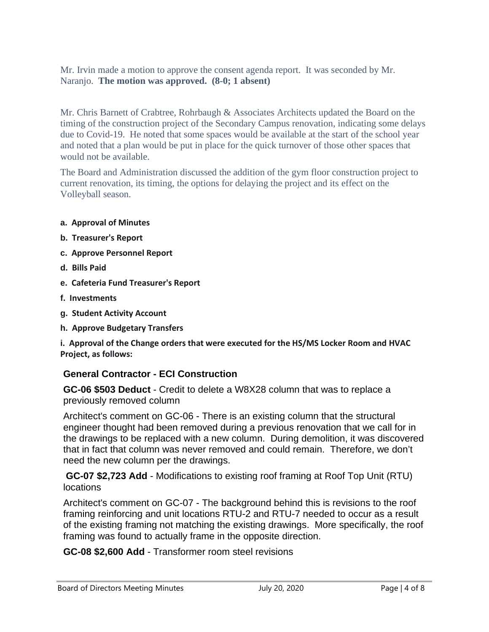Mr. Irvin made a motion to approve the consent agenda report. It was seconded by Mr. Naranjo. **The motion was approved. (8-0; 1 absent)**

Mr. Chris Barnett of Crabtree, Rohrbaugh & Associates Architects updated the Board on the timing of the construction project of the Secondary Campus renovation, indicating some delays due to Covid-19. He noted that some spaces would be available at the start of the school year and noted that a plan would be put in place for the quick turnover of those other spaces that would not be available.

The Board and Administration discussed the addition of the gym floor construction project to current renovation, its timing, the options for delaying the project and its effect on the Volleyball season.

#### **a. Approval of Minutes**

- **b. Treasurer's Report**
- **c. Approve Personnel Report**
- **d. Bills Paid**
- **e. Cafeteria Fund Treasurer's Report**
- **f. Investments**
- **g. Student Activity Account**
- **h. Approve Budgetary Transfers**

**i. Approval of the Change orders that were executed for the HS/MS Locker Room and HVAC Project, as follows:**

### **General Contractor - ECI Construction**

**GC-06 \$503 Deduct** - Credit to delete a W8X28 column that was to replace a previously removed column

Architect's comment on GC-06 - There is an existing column that the structural engineer thought had been removed during a previous renovation that we call for in the drawings to be replaced with a new column. During demolition, it was discovered that in fact that column was never removed and could remain. Therefore, we don't need the new column per the drawings.

**GC-07 \$2,723 Add** - Modifications to existing roof framing at Roof Top Unit (RTU) **locations** 

Architect's comment on GC-07 - The background behind this is revisions to the roof framing reinforcing and unit locations RTU-2 and RTU-7 needed to occur as a result of the existing framing not matching the existing drawings. More specifically, the roof framing was found to actually frame in the opposite direction.

**GC-08 \$2,600 Add** - Transformer room steel revisions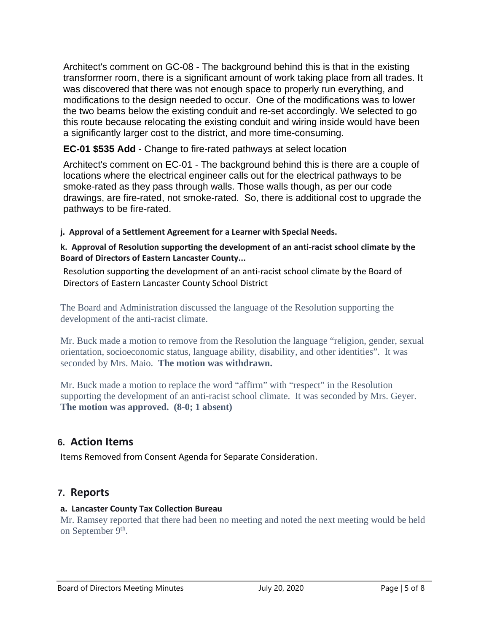Architect's comment on GC-08 - The background behind this is that in the existing transformer room, there is a significant amount of work taking place from all trades. It was discovered that there was not enough space to properly run everything, and modifications to the design needed to occur. One of the modifications was to lower the two beams below the existing conduit and re-set accordingly. We selected to go this route because relocating the existing conduit and wiring inside would have been a significantly larger cost to the district, and more time-consuming.

**EC-01 \$535 Add** - Change to fire-rated pathways at select location

Architect's comment on EC-01 - The background behind this is there are a couple of locations where the electrical engineer calls out for the electrical pathways to be smoke-rated as they pass through walls. Those walls though, as per our code drawings, are fire-rated, not smoke-rated. So, there is additional cost to upgrade the pathways to be fire-rated.

**j. Approval of a Settlement Agreement for a Learner with Special Needs.**

#### **k. Approval of Resolution supporting the development of an anti-racist school climate by the Board of Directors of Eastern Lancaster County...**

Resolution supporting the development of an anti-racist school climate by the Board of Directors of Eastern Lancaster County School District

The Board and Administration discussed the language of the Resolution supporting the development of the anti-racist climate.

Mr. Buck made a motion to remove from the Resolution the language "religion, gender, sexual orientation, socioeconomic status, language ability, disability, and other identities". It was seconded by Mrs. Maio. **The motion was withdrawn.**

Mr. Buck made a motion to replace the word "affirm" with "respect" in the Resolution supporting the development of an anti-racist school climate. It was seconded by Mrs. Geyer. **The motion was approved. (8-0; 1 absent)**

# **6. Action Items**

Items Removed from Consent Agenda for Separate Consideration.

## **7. Reports**

### **a. Lancaster County Tax Collection Bureau**

Mr. Ramsey reported that there had been no meeting and noted the next meeting would be held on September 9<sup>th</sup>.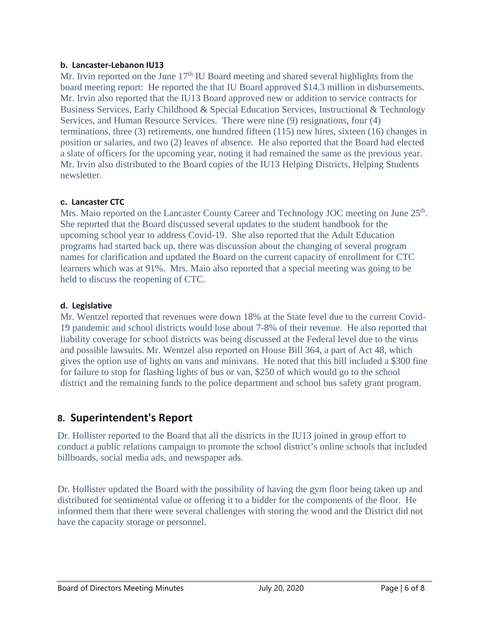#### **b. Lancaster-Lebanon IU13**

Mr. Irvin reported on the June  $17<sup>th</sup>$  IU Board meeting and shared several highlights from the board meeting report: He reported the that IU Board approved \$14.3 million in disbursements. Mr. Irvin also reported that the IU13 Board approved new or addition to service contracts for Business Services, Early Childhood & Special Education Services, Instructional & Technology Services, and Human Resource Services. There were nine (9) resignations, four (4) terminations, three (3) retirements, one hundred fifteen (115) new hires, sixteen (16) changes in position or salaries, and two (2) leaves of absence. He also reported that the Board had elected a slate of officers for the upcoming year, noting it had remained the same as the previous year. Mr. Irvin also distributed to the Board copies of the IU13 Helping Districts, Helping Students newsletter.

### **c. Lancaster CTC**

Mrs. Maio reported on the Lancaster County Career and Technology JOC meeting on June 25<sup>th</sup>. She reported that the Board discussed several updates to the student handbook for the upcoming school year to address Covid-19. She also reported that the Adult Education programs had started back up, there was discussion about the changing of several program names for clarification and updated the Board on the current capacity of enrollment for CTC learners which was at 91%. Mrs. Maio also reported that a special meeting was going to be held to discuss the reopening of CTC.

### **d. Legislative**

Mr. Wentzel reported that revenues were down 18% at the State level due to the current Covid-19 pandemic and school districts would lose about 7-8% of their revenue. He also reported that liability coverage for school districts was being discussed at the Federal level due to the virus and possible lawsuits. Mr. Wentzel also reported on House Bill 364, a part of Act 48, which gives the option use of lights on vans and minivans. He noted that this bill included a \$300 fine for failure to stop for flashing lights of bus or van, \$250 of which would go to the school district and the remaining funds to the police department and school bus safety grant program.

# **8. Superintendent's Report**

Dr. Hollister reported to the Board that all the districts in the IU13 joined in group effort to conduct a public relations campaign to promote the school district's online schools that included billboards, social media ads, and newspaper ads.

Dr. Hollister updated the Board with the possibility of having the gym floor being taken up and distributed for sentimental value or offering it to a bidder for the components of the floor. He informed them that there were several challenges with storing the wood and the District did not have the capacity storage or personnel.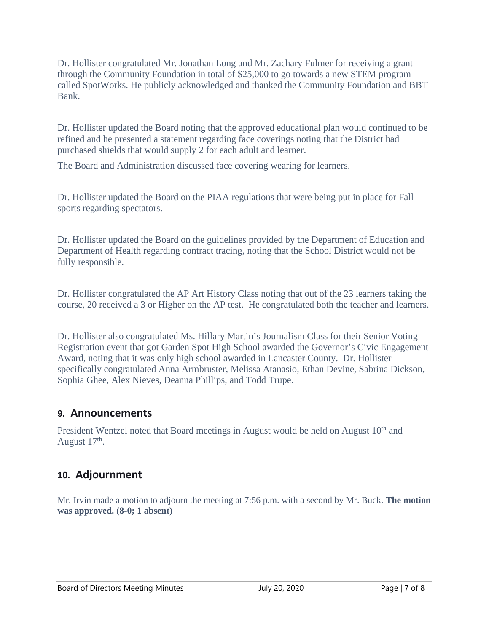Dr. Hollister congratulated Mr. Jonathan Long and Mr. Zachary Fulmer for receiving a grant through the Community Foundation in total of \$25,000 to go towards a new STEM program called SpotWorks. He publicly acknowledged and thanked the Community Foundation and BBT Bank.

Dr. Hollister updated the Board noting that the approved educational plan would continued to be refined and he presented a statement regarding face coverings noting that the District had purchased shields that would supply 2 for each adult and learner.

The Board and Administration discussed face covering wearing for learners.

Dr. Hollister updated the Board on the PIAA regulations that were being put in place for Fall sports regarding spectators.

Dr. Hollister updated the Board on the guidelines provided by the Department of Education and Department of Health regarding contract tracing, noting that the School District would not be fully responsible.

Dr. Hollister congratulated the AP Art History Class noting that out of the 23 learners taking the course, 20 received a 3 or Higher on the AP test. He congratulated both the teacher and learners.

Dr. Hollister also congratulated Ms. Hillary Martin's Journalism Class for their Senior Voting Registration event that got Garden Spot High School awarded the Governor's Civic Engagement Award, noting that it was only high school awarded in Lancaster County. Dr. Hollister specifically congratulated Anna Armbruster, Melissa Atanasio, Ethan Devine, Sabrina Dickson, Sophia Ghee, Alex Nieves, Deanna Phillips, and Todd Trupe.

## **9. Announcements**

President Wentzel noted that Board meetings in August would be held on August  $10<sup>th</sup>$  and August 17<sup>th</sup>.

## **10. Adjournment**

Mr. Irvin made a motion to adjourn the meeting at 7:56 p.m. with a second by Mr. Buck. **The motion was approved. (8-0; 1 absent)**